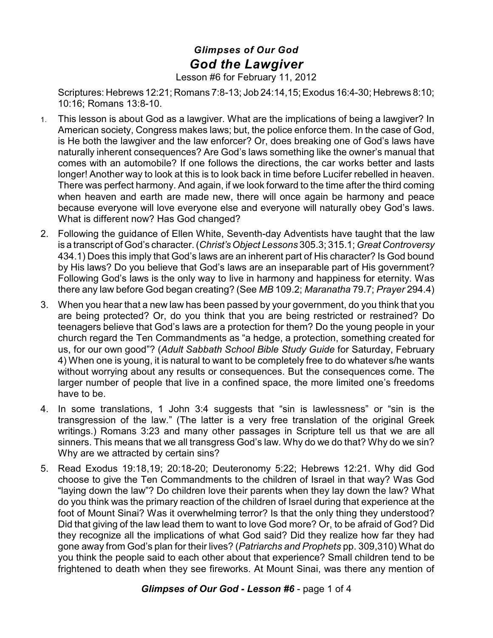## *Glimpses of Our God God the Lawgiver*

Lesson #6 for February 11, 2012

Scriptures: Hebrews 12:21; Romans 7:8-13; Job 24:14,15;Exodus 16:4-30; Hebrews 8:10; 10:16; Romans 13:8-10.

- 1. This lesson is about God as a lawgiver. What are the implications of being a lawgiver? In American society, Congress makes laws; but, the police enforce them. In the case of God, is He both the lawgiver and the law enforcer? Or, does breaking one of God's laws have naturally inherent consequences? Are God's laws something like the owner's manual that comes with an automobile? If one follows the directions, the car works better and lasts longer! Another way to look at this is to look back in time before Lucifer rebelled in heaven. There was perfect harmony. And again, if we look forward to the time after the third coming when heaven and earth are made new, there will once again be harmony and peace because everyone will love everyone else and everyone will naturally obey God's laws. What is different now? Has God changed?
- 2. Following the guidance of Ellen White, Seventh-day Adventists have taught that the law is a transcript of God's character. (*Christ'sObject Lessons* 305.3; 315.1; *Great Controversy* 434.1) Does this imply that God's laws are an inherent part of His character? Is God bound by His laws? Do you believe that God's laws are an inseparable part of His government? Following God's laws is the only way to live in harmony and happiness for eternity. Was there any law before God began creating? (See *MB* 109.2; *Maranatha* 79.7; *Prayer* 294.4)
- 3. When you hear that a new law has been passed by your government, do you think that you are being protected? Or, do you think that you are being restricted or restrained? Do teenagers believe that God's laws are a protection for them? Do the young people in your church regard the Ten Commandments as "a hedge, a protection, something created for us, for our own good"? (*Adult Sabbath School Bible Study Guide* for Saturday, February 4) When one is young, it is natural to want to be completely free to do whatever s/he wants without worrying about any results or consequences. But the consequences come. The larger number of people that live in a confined space, the more limited one's freedoms have to be.
- 4. In some translations, 1 John 3:4 suggests that "sin is lawlessness" or "sin is the transgression of the law." (The latter is a very free translation of the original Greek writings.) Romans 3:23 and many other passages in Scripture tell us that we are all sinners. This means that we all transgress God's law. Why do we do that? Why do we sin? Why are we attracted by certain sins?
- 5. Read Exodus 19:18,19; 20:18-20; Deuteronomy 5:22; Hebrews 12:21. Why did God choose to give the Ten Commandments to the children of Israel in that way? Was God "laying down the law"? Do children love their parents when they lay down the law? What do you think was the primary reaction of the children of Israel during that experience at the foot of Mount Sinai? Was it overwhelming terror? Is that the only thing they understood? Did that giving of the law lead them to want to love God more? Or, to be afraid of God? Did they recognize all the implications of what God said? Did they realize how far they had gone away from God's plan for their lives? (*Patriarchs and Prophets* pp. 309,310) What do you think the people said to each other about that experience? Small children tend to be frightened to death when they see fireworks. At Mount Sinai, was there any mention of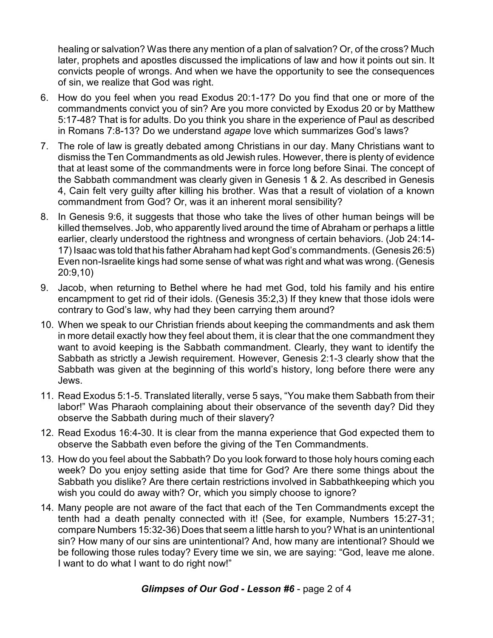healing or salvation? Was there any mention of a plan of salvation? Or, of the cross? Much later, prophets and apostles discussed the implications of law and how it points out sin. It convicts people of wrongs. And when we have the opportunity to see the consequences of sin, we realize that God was right.

- 6. How do you feel when you read Exodus 20:1-17? Do you find that one or more of the commandments convict you of sin? Are you more convicted by Exodus 20 or by Matthew 5:17-48? That is for adults. Do you think you share in the experience of Paul as described in Romans 7:8-13? Do we understand *agape* love which summarizes God's laws?
- 7. The role of law is greatly debated among Christians in our day. Many Christians want to dismiss the Ten Commandments as old Jewish rules. However, there is plenty of evidence that at least some of the commandments were in force long before Sinai. The concept of the Sabbath commandment was clearly given in Genesis 1 & 2. As described in Genesis 4, Cain felt very guilty after killing his brother. Was that a result of violation of a known commandment from God? Or, was it an inherent moral sensibility?
- 8. In Genesis 9:6, it suggests that those who take the lives of other human beings will be killed themselves. Job, who apparently lived around the time of Abraham or perhaps a little earlier, clearly understood the rightness and wrongness of certain behaviors. (Job 24:14- 17) Isaac was told that his father Abraham had kept God's commandments. (Genesis 26:5) Even non-Israelite kings had some sense of what was right and what was wrong. (Genesis 20:9,10)
- 9. Jacob, when returning to Bethel where he had met God, told his family and his entire encampment to get rid of their idols. (Genesis 35:2,3) If they knew that those idols were contrary to God's law, why had they been carrying them around?
- 10. When we speak to our Christian friends about keeping the commandments and ask them in more detail exactly how they feel about them, it is clear that the one commandment they want to avoid keeping is the Sabbath commandment. Clearly, they want to identify the Sabbath as strictly a Jewish requirement. However, Genesis 2:1-3 clearly show that the Sabbath was given at the beginning of this world's history, long before there were any Jews.
- 11. Read Exodus 5:1-5. Translated literally, verse 5 says, "You make them Sabbath from their labor!" Was Pharaoh complaining about their observance of the seventh day? Did they observe the Sabbath during much of their slavery?
- 12. Read Exodus 16:4-30. It is clear from the manna experience that God expected them to observe the Sabbath even before the giving of the Ten Commandments.
- 13. How do you feel about the Sabbath? Do you look forward to those holy hours coming each week? Do you enjoy setting aside that time for God? Are there some things about the Sabbath you dislike? Are there certain restrictions involved in Sabbathkeeping which you wish you could do away with? Or, which you simply choose to ignore?
- 14. Many people are not aware of the fact that each of the Ten Commandments except the tenth had a death penalty connected with it! (See, for example, Numbers 15:27-31; compare Numbers 15:32-36) Does that seem a little harsh to you? What is an unintentional sin? How many of our sins are unintentional? And, how many are intentional? Should we be following those rules today? Every time we sin, we are saying: "God, leave me alone. I want to do what I want to do right now!"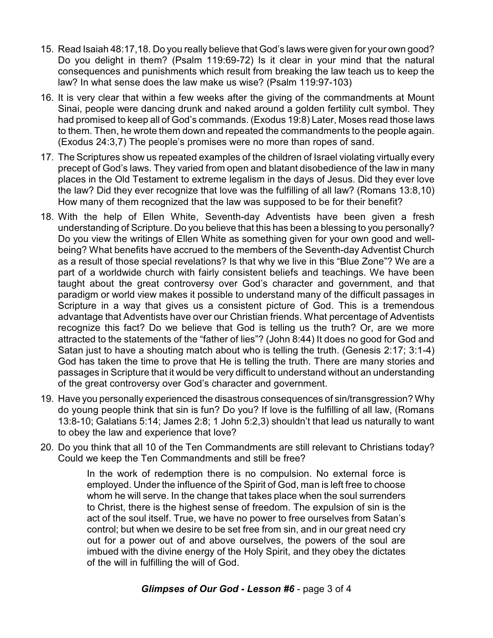- 15. Read Isaiah 48:17,18. Do you really believe that God's laws were given for your own good? Do you delight in them? (Psalm 119:69-72) Is it clear in your mind that the natural consequences and punishments which result from breaking the law teach us to keep the law? In what sense does the law make us wise? (Psalm 119:97-103)
- 16. It is very clear that within a few weeks after the giving of the commandments at Mount Sinai, people were dancing drunk and naked around a golden fertility cult symbol. They had promised to keep all of God's commands. (Exodus 19:8) Later, Moses read those laws to them. Then, he wrote them down and repeated the commandments to the people again. (Exodus 24:3,7) The people's promises were no more than ropes of sand.
- 17. The Scriptures show us repeated examples of the children of Israel violating virtually every precept of God's laws. They varied from open and blatant disobedience of the law in many places in the Old Testament to extreme legalism in the days of Jesus. Did they ever love the law? Did they ever recognize that love was the fulfilling of all law? (Romans 13:8,10) How many of them recognized that the law was supposed to be for their benefit?
- 18. With the help of Ellen White, Seventh-day Adventists have been given a fresh understanding of Scripture. Do you believe that this has been a blessing to you personally? Do you view the writings of Ellen White as something given for your own good and wellbeing? What benefits have accrued to the members of the Seventh-day Adventist Church as a result of those special revelations? Is that why we live in this "Blue Zone"? We are a part of a worldwide church with fairly consistent beliefs and teachings. We have been taught about the great controversy over God's character and government, and that paradigm or world view makes it possible to understand many of the difficult passages in Scripture in a way that gives us a consistent picture of God. This is a tremendous advantage that Adventists have over our Christian friends. What percentage of Adventists recognize this fact? Do we believe that God is telling us the truth? Or, are we more attracted to the statements of the "father of lies"? (John 8:44) It does no good for God and Satan just to have a shouting match about who is telling the truth. (Genesis 2:17; 3:1-4) God has taken the time to prove that He is telling the truth. There are many stories and passages in Scripture that it would be very difficult to understand without an understanding of the great controversy over God's character and government.
- 19. Have you personally experienced the disastrous consequences of sin/transgression? Why do young people think that sin is fun? Do you? If love is the fulfilling of all law, (Romans 13:8-10; Galatians 5:14; James 2:8; 1 John 5:2,3) shouldn't that lead us naturally to want to obey the law and experience that love?
- 20. Do you think that all 10 of the Ten Commandments are still relevant to Christians today? Could we keep the Ten Commandments and still be free?

In the work of redemption there is no compulsion. No external force is employed. Under the influence of the Spirit of God, man is left free to choose whom he will serve. In the change that takes place when the soul surrenders to Christ, there is the highest sense of freedom. The expulsion of sin is the act of the soul itself. True, we have no power to free ourselves from Satan's control; but when we desire to be set free from sin, and in our great need cry out for a power out of and above ourselves, the powers of the soul are imbued with the divine energy of the Holy Spirit, and they obey the dictates of the will in fulfilling the will of God.